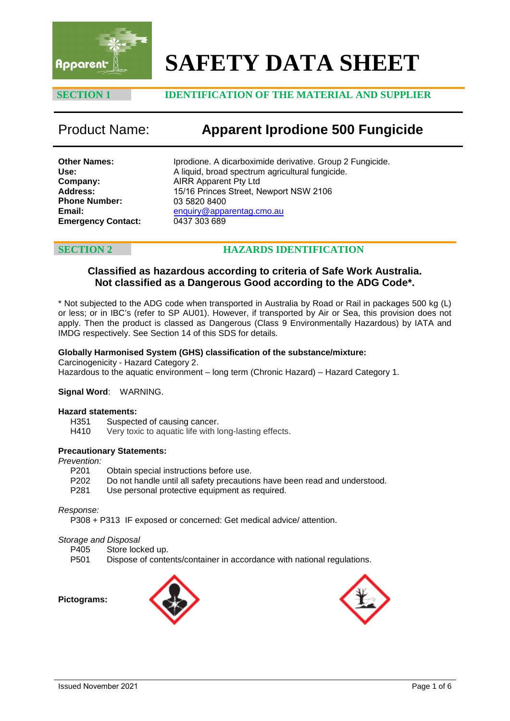

# **SAFETY DATA SHEET**

### **SECTION 1 IDENTIFICATION OF THE MATERIAL AND SUPPLIER**

## Product Name: **Apparent Iprodione 500 Fungicide**

**Other Names: Use: Company: Address: Phone Number: Email: Emergency Contact:** Iprodione. A dicarboximide derivative. Group 2 Fungicide. A liquid, broad spectrum agricultural fungicide. AIRR Apparent Pty Ltd 15/16 Princes Street, Newport NSW 2106 03 5820 8400 enquiry@apparentag.cmo.au [0437 303 689](mailto:enquiry@apparentag.cmo.au)

### **SECTION 2 HAZARDS IDENTIFICATION**

### **Classified as hazardous according to criteria of Safe Work Australia. Not classified as a Dangerous Good according to the ADG Code\*.**

\* Not subjected to the ADG code when transported in Australia by Road or Rail in packages 500 kg (L) or less; or in IBC's (refer to SP AU01). However, if transported by Air or Sea, this provision does not apply. Then the product is classed as Dangerous (Class 9 Environmentally Hazardous) by IATA and IMDG respectively. See Section 14 of this SDS for details.

### **Globally Harmonised System (GHS) classification of the substance/mixture:**

Carcinogenicity - Hazard Category 2.

Hazardous to the aquatic environment – long term (Chronic Hazard) – Hazard Category 1.

#### **Signal Word**: WARNING.

# **Hazard statements:**

H351 Suspected of causing cancer.<br>H410 Very toxic to aquatic life with lo

Very toxic to aquatic life with long-lasting effects.

#### **Precautionary Statements:**

#### *Prevention:*

- P201 Obtain special instructions before use.
- P202 Do not handle until all safety precautions have been read and understood.
- P281 Use personal protective equipment as required.

### *Response:*

P308 + P313 IF exposed or concerned: Get medical advice/ attention.

*Storage and Disposal*

P405 Store locked up.<br>P501 Dispose of conte

Dispose of contents/container in accordance with national regulations.

**Pictograms:** 



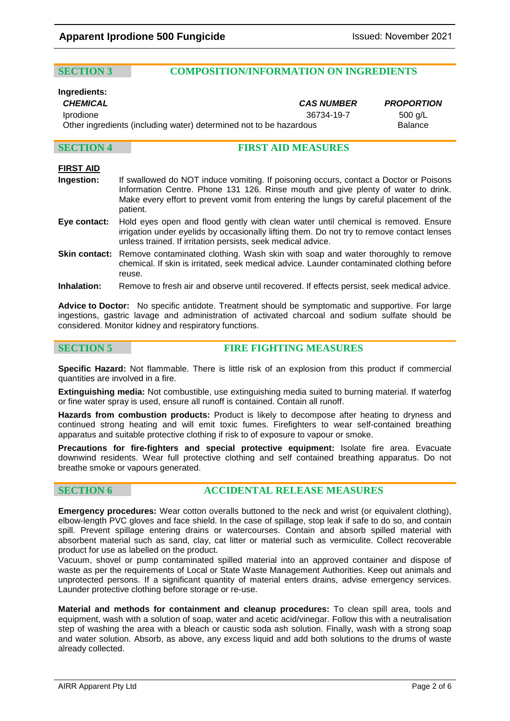### **SECTION 3 COMPOSITION/INFORMATION ON INGREDIENTS**

### **Ingredients:**

*CHEMICAL CAS NUMBER PROPORTION*

Iprodione 36734-19-7 500 g/L Other ingredients (including water) determined not to be hazardous Balance

### **SECTION 4 FIRST AID MEASURES**

### **FIRST AID**

- **Ingestion:** If swallowed do NOT induce vomiting. If poisoning occurs, contact a Doctor or Poisons Information Centre. Phone 131 126. Rinse mouth and give plenty of water to drink. Make every effort to prevent vomit from entering the lungs by careful placement of the patient.
- **Eye contact:** Hold eyes open and flood gently with clean water until chemical is removed. Ensure irrigation under eyelids by occasionally lifting them. Do not try to remove contact lenses unless trained. If irritation persists, seek medical advice.
- **Skin contact:** Remove contaminated clothing. Wash skin with soap and water thoroughly to remove chemical. If skin is irritated, seek medical advice. Launder contaminated clothing before reuse.
- **Inhalation:** Remove to fresh air and observe until recovered. If effects persist, seek medical advice.

**Advice to Doctor:** No specific antidote. Treatment should be symptomatic and supportive. For large ingestions, gastric lavage and administration of activated charcoal and sodium sulfate should be considered. Monitor kidney and respiratory functions.

**SECTION 5 FIRE FIGHTING MEASURES**

**Specific Hazard:** Not flammable. There is little risk of an explosion from this product if commercial quantities are involved in a fire.

**Extinguishing media:** Not combustible, use extinguishing media suited to burning material. If waterfog or fine water spray is used, ensure all runoff is contained. Contain all runoff.

**Hazards from combustion products:** Product is likely to decompose after heating to dryness and continued strong heating and will emit toxic fumes. Firefighters to wear self-contained breathing apparatus and suitable protective clothing if risk to of exposure to vapour or smoke.

**Precautions for fire-fighters and special protective equipment:** Isolate fire area. Evacuate downwind residents. Wear full protective clothing and self contained breathing apparatus. Do not breathe smoke or vapours generated.

### **SECTION 6 ACCIDENTAL RELEASE MEASURES**

**Emergency procedures:** Wear cotton overalls buttoned to the neck and wrist (or equivalent clothing), elbow-length PVC gloves and face shield. In the case of spillage, stop leak if safe to do so, and contain spill. Prevent spillage entering drains or watercourses. Contain and absorb spilled material with absorbent material such as sand, clay, cat litter or material such as vermiculite. Collect recoverable product for use as labelled on the product.

Vacuum, shovel or pump contaminated spilled material into an approved container and dispose of waste as per the requirements of Local or State Waste Management Authorities. Keep out animals and unprotected persons. If a significant quantity of material enters drains, advise emergency services. Launder protective clothing before storage or re-use.

**Material and methods for containment and cleanup procedures:** To clean spill area, tools and equipment, wash with a solution of soap, water and acetic acid/vinegar. Follow this with a neutralisation step of washing the area with a bleach or caustic soda ash solution. Finally, wash with a strong soap and water solution. Absorb, as above, any excess liquid and add both solutions to the drums of waste already collected.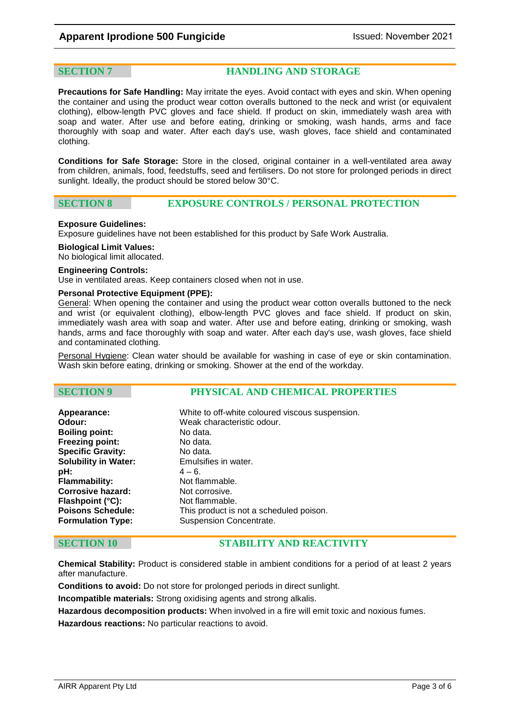**SECTION 7 HANDLING AND STORAGE**

**Precautions for Safe Handling:** May irritate the eyes. Avoid contact with eyes and skin. When opening the container and using the product wear cotton overalls buttoned to the neck and wrist (or equivalent clothing), elbow-length PVC gloves and face shield. If product on skin, immediately wash area with soap and water. After use and before eating, drinking or smoking, wash hands, arms and face thoroughly with soap and water. After each day's use, wash gloves, face shield and contaminated clothing.

**Conditions for Safe Storage:** Store in the closed, original container in a well-ventilated area away from children, animals, food, feedstuffs, seed and fertilisers. Do not store for prolonged periods in direct sunlight. Ideally, the product should be stored below 30°C.

**SECTION 8 EXPOSURE CONTROLS / PERSONAL PROTECTION**

#### **Exposure Guidelines:**

Exposure guidelines have not been established for this product by Safe Work Australia.

#### **Biological Limit Values:**

No biological limit allocated.

#### **Engineering Controls:**

Use in ventilated areas. Keep containers closed when not in use.

### **Personal Protective Equipment (PPE):**

General: When opening the container and using the product wear cotton overalls buttoned to the neck and wrist (or equivalent clothing), elbow-length PVC gloves and face shield. If product on skin, immediately wash area with soap and water. After use and before eating, drinking or smoking, wash hands, arms and face thoroughly with soap and water. After each day's use, wash gloves, face shield and contaminated clothing.

Personal Hygiene: Clean water should be available for washing in case of eye or skin contamination. Wash skin before eating, drinking or smoking. Shower at the end of the workday.

### **SECTION 9 PHYSICAL AND CHEMICAL PROPERTIES**

| Appearance:                 | White to off-white coloured viscous suspension. |
|-----------------------------|-------------------------------------------------|
| Odour:                      | Weak characteristic odour.                      |
| <b>Boiling point:</b>       | No data.                                        |
| <b>Freezing point:</b>      | No data.                                        |
| <b>Specific Gravity:</b>    | No data.                                        |
| <b>Solubility in Water:</b> | Emulsifies in water.                            |
| pH:                         | $4 - 6$ .                                       |
| Flammability:               | Not flammable.                                  |
| <b>Corrosive hazard:</b>    | Not corrosive.                                  |
| Flashpoint (°C):            | Not flammable.                                  |
| <b>Poisons Schedule:</b>    | This product is not a scheduled poison.         |
| <b>Formulation Type:</b>    | Suspension Concentrate.                         |
|                             |                                                 |

### **SECTION 10 STABILITY AND REACTIVITY**

**Chemical Stability:** Product is considered stable in ambient conditions for a period of at least 2 years after manufacture.

**Conditions to avoid:** Do not store for prolonged periods in direct sunlight.

**Incompatible materials:** Strong oxidising agents and strong alkalis.

**Hazardous decomposition products:** When involved in a fire will emit toxic and noxious fumes.

**Hazardous reactions:** No particular reactions to avoid.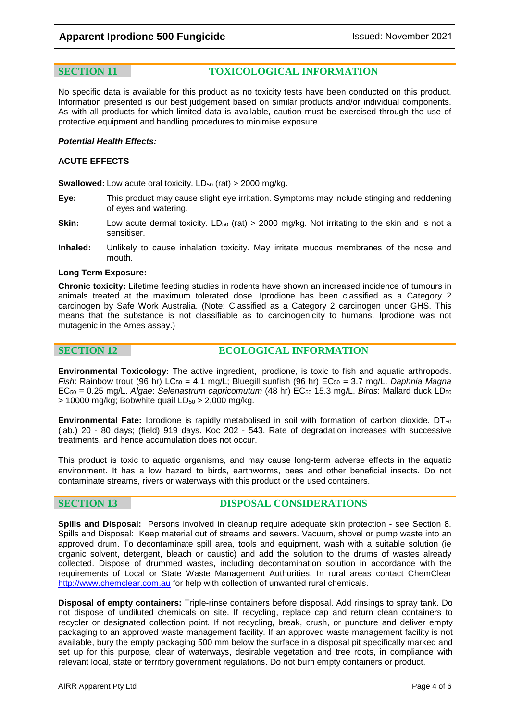**SECTION 11 TOXICOLOGICAL INFORMATION**

No specific data is available for this product as no toxicity tests have been conducted on this product. Information presented is our best judgement based on similar products and/or individual components. As with all products for which limited data is available, caution must be exercised through the use of protective equipment and handling procedures to minimise exposure.

#### *Potential Health Effects:*

#### **ACUTE EFFECTS**

**Swallowed:** Low acute oral toxicity. LD<sub>50</sub> (rat) > 2000 mg/kg.

- **Eye:** This product may cause slight eye irritation. Symptoms may include stinging and reddening of eyes and watering.
- **Skin:** Low acute dermal toxicity. LD<sub>50</sub> (rat) > 2000 mg/kg. Not irritating to the skin and is not a sensitiser.
- **Inhaled:** Unlikely to cause inhalation toxicity. May irritate mucous membranes of the nose and mouth.

### **Long Term Exposure:**

**Chronic toxicity:** Lifetime feeding studies in rodents have shown an increased incidence of tumours in animals treated at the maximum tolerated dose. Iprodione has been classified as a Category 2 carcinogen by Safe Work Australia. (Note: Classified as a Category 2 carcinogen under GHS. This means that the substance is not classifiable as to carcinogenicity to humans. Iprodione was not mutagenic in the Ames assay.)

**SECTION 12 ECOLOGICAL INFORMATION**

**Environmental Toxicology:** The active ingredient, iprodione, is toxic to fish and aquatic arthropods. *Fish*: Rainbow trout (96 hr) LC<sub>50</sub> = 4.1 mg/L; Bluegill sunfish (96 hr) EC<sub>50</sub> = 3.7 mg/L. *Daphnia Magna* EC50 = 0.25 mg/L. *Algae*: *Selenastrum capricomutum* (48 hr) EC50 15.3 mg/L. *Birds*: Mallard duck LD50  $> 10000$  mg/kg; Bobwhite quail LD<sub>50</sub>  $> 2,000$  mg/kg.

**Environmental Fate:** Iprodione is rapidly metabolised in soil with formation of carbon dioxide. DT<sub>50</sub> (lab.) 20 - 80 days; (field) 919 days. Koc 202 - 543. Rate of degradation increases with successive treatments, and hence accumulation does not occur.

This product is toxic to aquatic organisms, and may cause long-term adverse effects in the aquatic environment. It has a low hazard to birds, earthworms, bees and other beneficial insects. Do not contaminate streams, rivers or waterways with this product or the used containers.

**SECTION 13 DISPOSAL CONSIDERATIONS**

**Spills and Disposal:** Persons involved in cleanup require adequate skin protection - see Section 8. Spills and Disposal: Keep material out of streams and sewers. Vacuum, shovel or pump waste into an approved drum. To decontaminate spill area, tools and equipment, wash with a suitable solution (ie organic solvent, detergent, bleach or caustic) and add the solution to the drums of wastes already collected. Dispose of drummed wastes, including decontamination solution in accordance with the requirements of Local or State Waste Management Authorities. In rural areas contact ChemClear [http://www.chemclear.com.au](http://www.chemclear.com.au/) for help with collection of unwanted rural chemicals.

**Disposal of empty containers:** Triple-rinse containers before disposal. Add rinsings to spray tank. Do not dispose of undiluted chemicals on site. If recycling, replace cap and return clean containers to recycler or designated collection point. If not recycling, break, crush, or puncture and deliver empty packaging to an approved waste management facility. If an approved waste management facility is not available, bury the empty packaging 500 mm below the surface in a disposal pit specifically marked and set up for this purpose, clear of waterways, desirable vegetation and tree roots, in compliance with relevant local, state or territory government regulations. Do not burn empty containers or product.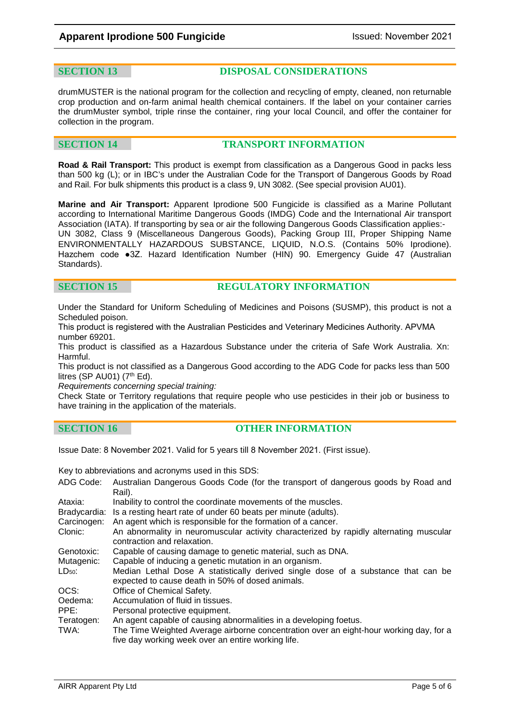### **SECTION 13 DISPOSAL CONSIDERATIONS**

drumMUSTER is the national program for the collection and recycling of empty, cleaned, non returnable crop production and on-farm animal health chemical containers. If the label on your container carries the drumMuster symbol, triple rinse the container, ring your local Council, and offer the container for collection in the program.

### **SECTION 14 TRANSPORT INFORMATION**

**Road & Rail Transport:** This product is exempt from classification as a Dangerous Good in packs less than 500 kg (L); or in IBC's under the Australian Code for the Transport of Dangerous Goods by Road and Rail. For bulk shipments this product is a class 9, UN 3082. (See special provision AU01).

**Marine and Air Transport:** Apparent Iprodione 500 Fungicide is classified as a Marine Pollutant according to International Maritime Dangerous Goods (IMDG) Code and the International Air transport Association (IATA). If transporting by sea or air the following Dangerous Goods Classification applies:- UN 3082, Class 9 (Miscellaneous Dangerous Goods), Packing Group III, Proper Shipping Name ENVIRONMENTALLY HAZARDOUS SUBSTANCE, LIQUID, N.O.S. (Contains 50% Iprodione). Hazchem code ●3Z. Hazard Identification Number (HIN) 90. Emergency Guide 47 (Australian Standards).

### **SECTION 15 REGULATORY INFORMATION**

Under the Standard for Uniform Scheduling of Medicines and Poisons (SUSMP), this product is not a Scheduled poison.

This product is registered with the Australian Pesticides and Veterinary Medicines Authority. APVMA number 69201.

This product is classified as a Hazardous Substance under the criteria of Safe Work Australia. Xn: Harmful.

This product is not classified as a Dangerous Good according to the ADG Code for packs less than 500 litres (SP AU01)  $(7<sup>th</sup> Ed)$ .

*Requirements concerning special training:* 

Check State or Territory regulations that require people who use pesticides in their job or business to have training in the application of the materials.

| <b>SECTION 16</b> |  |  |  |
|-------------------|--|--|--|
|                   |  |  |  |

### **OTHER INFORMATION**

Issue Date: 8 November 2021. Valid for 5 years till 8 November 2021. (First issue).

Key to abbreviations and acronyms used in this SDS:

| ADG Code:          | Australian Dangerous Goods Code (for the transport of dangerous goods by Road and<br>Rail).                                                                 |
|--------------------|-------------------------------------------------------------------------------------------------------------------------------------------------------------|
| Ataxia:            | Inability to control the coordinate movements of the muscles.                                                                                               |
| Bradycardia:       | Is a resting heart rate of under 60 beats per minute (adults).                                                                                              |
| Carcinogen:        | An agent which is responsible for the formation of a cancer.                                                                                                |
| Clonic:            | An abnormality in neuromuscular activity characterized by rapidly alternating muscular<br>contraction and relaxation.                                       |
| Genotoxic:         | Capable of causing damage to genetic material, such as DNA.                                                                                                 |
| Mutagenic:         | Capable of inducing a genetic mutation in an organism.                                                                                                      |
| LD <sub>50</sub>   | Median Lethal Dose A statistically derived single dose of a substance that can be<br>expected to cause death in 50% of dosed animals.                       |
| OCS:               | Office of Chemical Safety.                                                                                                                                  |
| Oedema:            | Accumulation of fluid in tissues.                                                                                                                           |
| PPE:               | Personal protective equipment.                                                                                                                              |
| Teratogen:<br>TWA: | An agent capable of causing abnormalities in a developing foetus.<br>The Time Weighted Average airborne concentration over an eight-hour working day, for a |
|                    | five day working week over an entire working life.                                                                                                          |